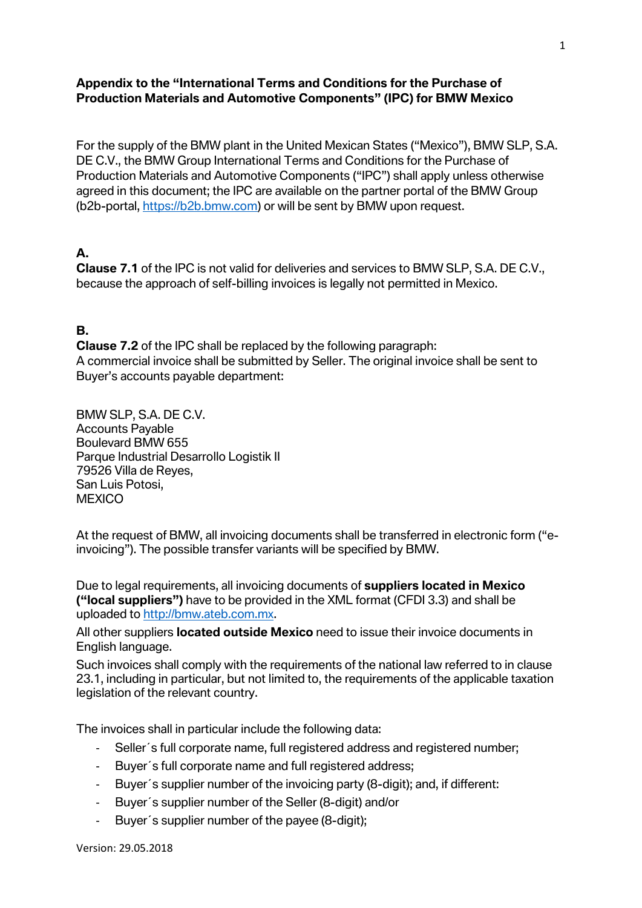#### **Appendix to the "International Terms and Conditions for the Purchase of Production Materials and Automotive Components" (IPC) for BMW Mexico**

For the supply of the BMW plant in the United Mexican States ("Mexico"), BMW SLP, S.A. DE C.V., the BMW Group International Terms and Conditions for the Purchase of Production Materials and Automotive Components ("IPC") shall apply unless otherwise agreed in this document; the IPC are available on the partner portal of the BMW Group (b2b-portal, [https://b2b.bmw.com\)](https://b2b.bmw.com/) or will be sent by BMW upon request.

#### **A.**

**Clause 7.1** of the IPC is not valid for deliveries and services to BMW SLP, S.A. DE C.V., because the approach of self-billing invoices is legally not permitted in Mexico.

#### **B.**

**Clause 7.2** of the IPC shall be replaced by the following paragraph: A commercial invoice shall be submitted by Seller. The original invoice shall be sent to Buyer's accounts payable department:

BMW SLP, S.A. DE C.V. Accounts Payable Boulevard BMW 655 Parque Industrial Desarrollo Logistik II 79526 Villa de Reyes, San Luis Potosi, **MEXICO** 

At the request of BMW, all invoicing documents shall be transferred in electronic form ("einvoicing"). The possible transfer variants will be specified by BMW.

Due to legal requirements, all invoicing documents of **suppliers located in Mexico ("local suppliers")** have to be provided in the XML format (CFDI 3.3) and shall be uploaded to [http://bmw.ateb.com.mx.](http://bmw.ateb.com.mx/)

All other suppliers **located outside Mexico** need to issue their invoice documents in English language.

Such invoices shall comply with the requirements of the national law referred to in clause 23.1, including in particular, but not limited to, the requirements of the applicable taxation legislation of the relevant country.

The invoices shall in particular include the following data:

- Seller´s full corporate name, full registered address and registered number;
- Buyer´s full corporate name and full registered address;
- Buyer´s supplier number of the invoicing party (8-digit); and, if different:
- Buyer´s supplier number of the Seller (8-digit) and/or
- Buyer´s supplier number of the payee (8-digit);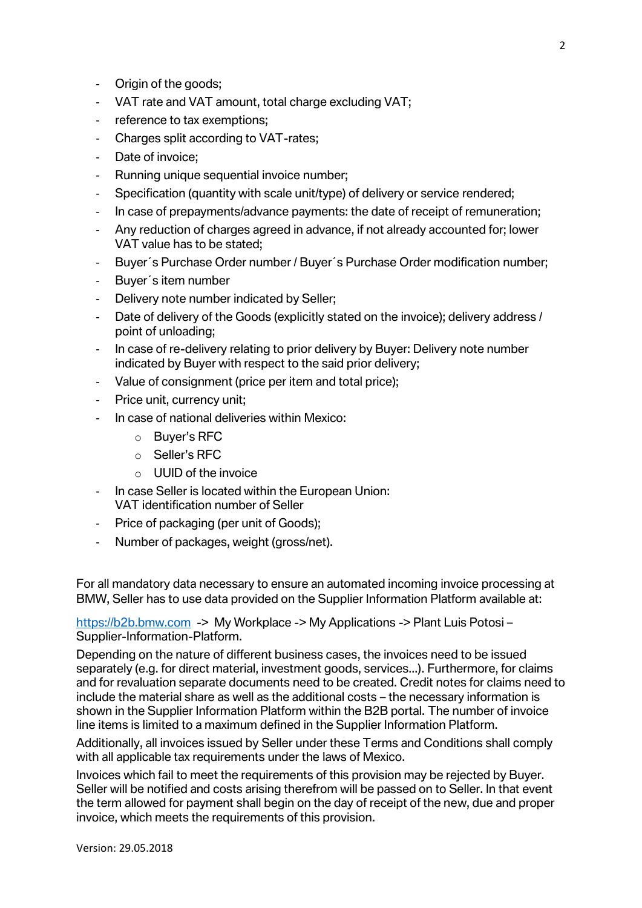- Origin of the goods;
- VAT rate and VAT amount, total charge excluding VAT;
- reference to tax exemptions;
- Charges split according to VAT-rates;
- Date of invoice:
- Running unique sequential invoice number;
- Specification (quantity with scale unit/type) of delivery or service rendered;
- In case of prepayments/advance payments: the date of receipt of remuneration;
- Any reduction of charges agreed in advance, if not already accounted for; lower VAT value has to be stated;
- Buyer´s Purchase Order number / Buyer´s Purchase Order modification number;
- Buyer´s item number
- Delivery note number indicated by Seller;
- Date of delivery of the Goods (explicitly stated on the invoice); delivery address / point of unloading;
- In case of re-delivery relating to prior delivery by Buyer: Delivery note number indicated by Buyer with respect to the said prior delivery;
- Value of consignment (price per item and total price);
- Price unit, currency unit;
- In case of national deliveries within Mexico:
	- o Buyer's RFC
	- o Seller's RFC
	- $\circ$  UUID of the invoice
- In case Seller is located within the European Union: VAT identification number of Seller
- Price of packaging (per unit of Goods);
- Number of packages, weight (gross/net).

For all mandatory data necessary to ensure an automated incoming invoice processing at BMW, Seller has to use data provided on the Supplier Information Platform available at:

[https://b2b.bmw.com](https://b2b.bmw.com/) -> My Workplace -> My Applications -> Plant Luis Potosi – Supplier-Information-Platform.

Depending on the nature of different business cases, the invoices need to be issued separately (e.g. for direct material, investment goods, services...). Furthermore, for claims and for revaluation separate documents need to be created. Credit notes for claims need to include the material share as well as the additional costs – the necessary information is shown in the Supplier Information Platform within the B2B portal. The number of invoice line items is limited to a maximum defined in the Supplier Information Platform.

Additionally, all invoices issued by Seller under these Terms and Conditions shall comply with all applicable tax requirements under the laws of Mexico.

Invoices which fail to meet the requirements of this provision may be rejected by Buyer. Seller will be notified and costs arising therefrom will be passed on to Seller. In that event the term allowed for payment shall begin on the day of receipt of the new, due and proper invoice, which meets the requirements of this provision.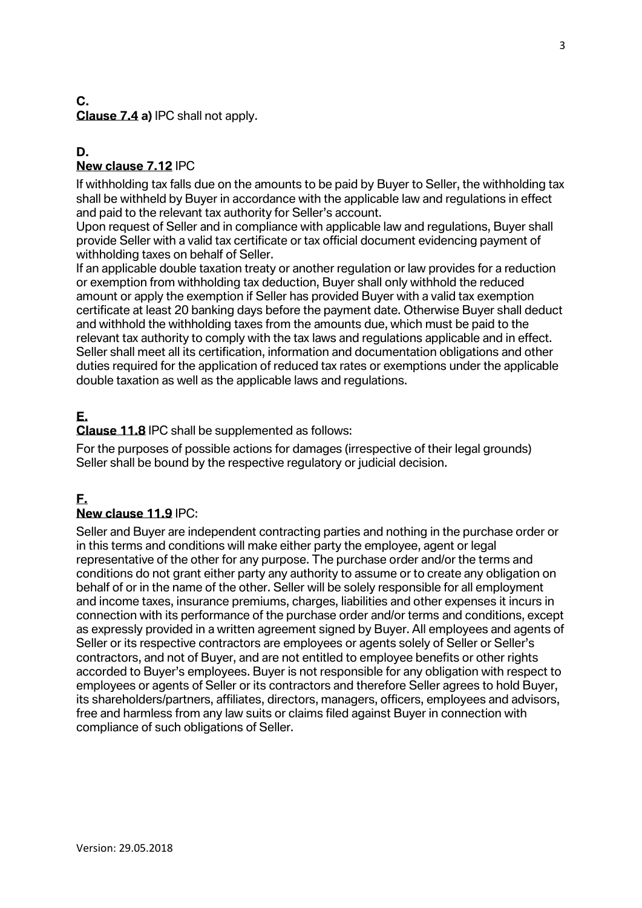#### **C. Clause 7.4 a)** IPC shall not apply.

#### **D. New clause 7.12** IPC

If withholding tax falls due on the amounts to be paid by Buyer to Seller, the withholding tax shall be withheld by Buyer in accordance with the applicable law and regulations in effect and paid to the relevant tax authority for Seller's account.

Upon request of Seller and in compliance with applicable law and regulations, Buyer shall provide Seller with a valid tax certificate or tax official document evidencing payment of withholding taxes on behalf of Seller.

If an applicable double taxation treaty or another regulation or law provides for a reduction or exemption from withholding tax deduction, Buyer shall only withhold the reduced amount or apply the exemption if Seller has provided Buyer with a valid tax exemption certificate at least 20 banking days before the payment date. Otherwise Buyer shall deduct and withhold the withholding taxes from the amounts due, which must be paid to the relevant tax authority to comply with the tax laws and regulations applicable and in effect. Seller shall meet all its certification, information and documentation obligations and other duties required for the application of reduced tax rates or exemptions under the applicable double taxation as well as the applicable laws and regulations.

# **E.**

**Clause 11.8** IPC shall be supplemented as follows:

For the purposes of possible actions for damages (irrespective of their legal grounds) Seller shall be bound by the respective regulatory or judicial decision.

## **F.**

#### **New clause 11.9** IPC:

Seller and Buyer are independent contracting parties and nothing in the purchase order or in this terms and conditions will make either party the employee, agent or legal representative of the other for any purpose. The purchase order and/or the terms and conditions do not grant either party any authority to assume or to create any obligation on behalf of or in the name of the other. Seller will be solely responsible for all employment and income taxes, insurance premiums, charges, liabilities and other expenses it incurs in connection with its performance of the purchase order and/or terms and conditions, except as expressly provided in a written agreement signed by Buyer. All employees and agents of Seller or its respective contractors are employees or agents solely of Seller or Seller's contractors, and not of Buyer, and are not entitled to employee benefits or other rights accorded to Buyer's employees. Buyer is not responsible for any obligation with respect to employees or agents of Seller or its contractors and therefore Seller agrees to hold Buyer, its shareholders/partners, affiliates, directors, managers, officers, employees and advisors, free and harmless from any law suits or claims filed against Buyer in connection with compliance of such obligations of Seller.